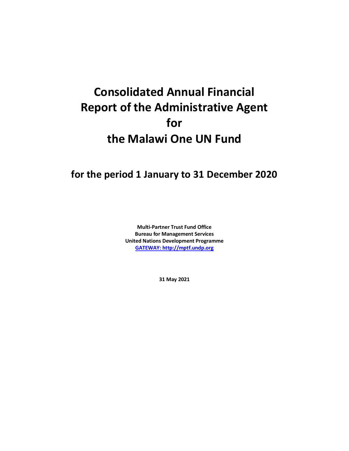## **Consolidated Annual Financial Report of the Administrative Agent for the Malawi One UN Fund**

## **for the period 1 January to 31 December 2020**

**Multi-Partner Trust Fund Office Bureau for Management Services United Nations Development Programme [GATEWAY: http://mptf.undp.org](http://mptf.undp.org/)**

**31 May 2021**